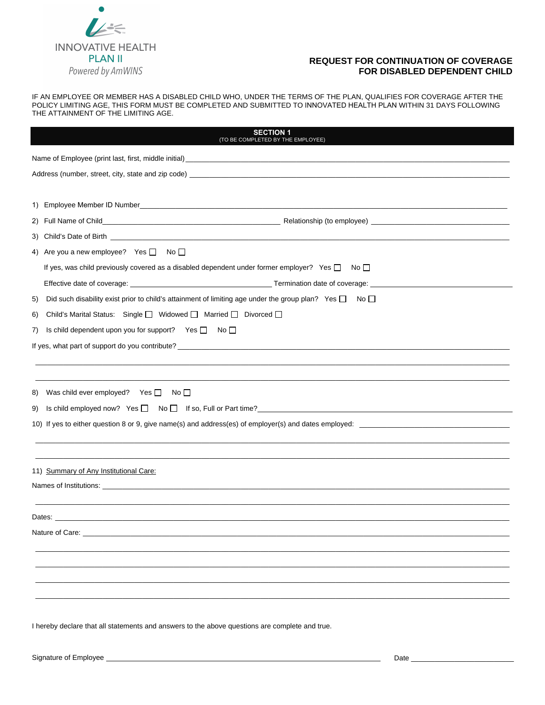

## **REQUEST FOR CONTINUATION OF COVERAGE FOR DISABLED DEPENDENT CHILD**

IF AN EMPLOYEE OR MEMBER HAS A DISABLED CHILD WHO, UNDER THE TERMS OF THE PLAN, QUALIFIES FOR COVERAGE AFTER THE POLICY LIMITING AGE, THIS FORM MUST BE COMPLETED AND SUBMITTED TO INNOVATED HEALTH PLAN WITHIN 31 DAYS FOLLOWING THE ATTAINMENT OF THE LIMITING AGE.

| <b>SECTION 1</b><br>(TO BE COMPLETED BY THE EMPLOYEE)                                                                                                                  |                                                                                                                        |  |  |  |  |
|------------------------------------------------------------------------------------------------------------------------------------------------------------------------|------------------------------------------------------------------------------------------------------------------------|--|--|--|--|
|                                                                                                                                                                        |                                                                                                                        |  |  |  |  |
|                                                                                                                                                                        |                                                                                                                        |  |  |  |  |
|                                                                                                                                                                        |                                                                                                                        |  |  |  |  |
|                                                                                                                                                                        |                                                                                                                        |  |  |  |  |
|                                                                                                                                                                        |                                                                                                                        |  |  |  |  |
|                                                                                                                                                                        |                                                                                                                        |  |  |  |  |
|                                                                                                                                                                        | 4) Are you a new employee? Yes $\Box$ No $\Box$                                                                        |  |  |  |  |
|                                                                                                                                                                        | If yes, was child previously covered as a disabled dependent under former employer? Yes $\square$ No $\square$         |  |  |  |  |
|                                                                                                                                                                        |                                                                                                                        |  |  |  |  |
| 5)                                                                                                                                                                     | Did such disability exist prior to child's attainment of limiting age under the group plan? Yes $\square$ No $\square$ |  |  |  |  |
| 6)                                                                                                                                                                     | Child's Marital Status: Single □ Widowed □ Married □ Divorced □                                                        |  |  |  |  |
| 7)                                                                                                                                                                     | Is child dependent upon you for support? Yes $\Box$ No $\Box$                                                          |  |  |  |  |
| If yes, what part of support do you contribute?<br>The manufacture and the manufacture and the manufacture and the manufacture and the manufacture and the manufacture |                                                                                                                        |  |  |  |  |
|                                                                                                                                                                        |                                                                                                                        |  |  |  |  |
|                                                                                                                                                                        |                                                                                                                        |  |  |  |  |
| 8)                                                                                                                                                                     | Was child ever employed? Yes $\Box$ No $\Box$                                                                          |  |  |  |  |
| 9)                                                                                                                                                                     | Is child employed now? Yes $\Box$ No $\Box$ If so, Full or Part time?                                                  |  |  |  |  |
|                                                                                                                                                                        |                                                                                                                        |  |  |  |  |
|                                                                                                                                                                        |                                                                                                                        |  |  |  |  |
|                                                                                                                                                                        |                                                                                                                        |  |  |  |  |
| 11) Summary of Any Institutional Care:                                                                                                                                 |                                                                                                                        |  |  |  |  |
|                                                                                                                                                                        |                                                                                                                        |  |  |  |  |
|                                                                                                                                                                        |                                                                                                                        |  |  |  |  |
|                                                                                                                                                                        |                                                                                                                        |  |  |  |  |
| Nature of Care:                                                                                                                                                        |                                                                                                                        |  |  |  |  |
|                                                                                                                                                                        |                                                                                                                        |  |  |  |  |
|                                                                                                                                                                        |                                                                                                                        |  |  |  |  |
|                                                                                                                                                                        |                                                                                                                        |  |  |  |  |
|                                                                                                                                                                        |                                                                                                                        |  |  |  |  |

I hereby declare that all statements and answers to the above questions are complete and true.